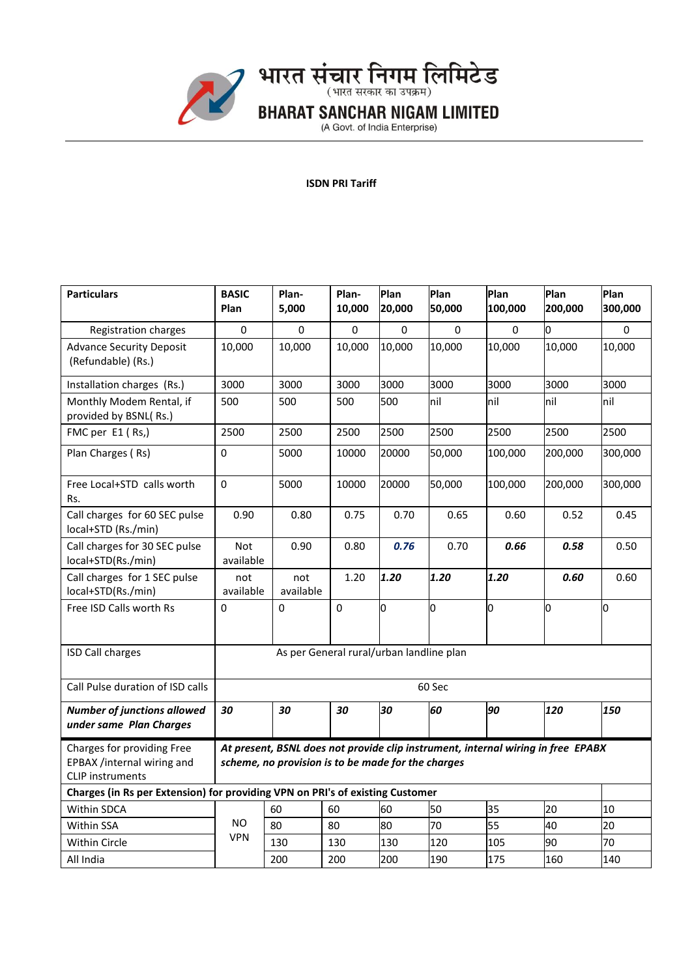

## **ISDN PRI Tariff**

| <b>Particulars</b>                                                                  | <b>BASIC</b><br>Plan                                                                                                                   | Plan-<br>5,000   | Plan-<br>10,000 | Plan<br>20,000 | Plan<br>50,000 | Plan<br>100,000 | Plan<br>200,000 | Plan<br>300,000 |
|-------------------------------------------------------------------------------------|----------------------------------------------------------------------------------------------------------------------------------------|------------------|-----------------|----------------|----------------|-----------------|-----------------|-----------------|
| Registration charges                                                                | 0                                                                                                                                      | 0                | 0               | 0              | 0              | 0               | O               | 0               |
| <b>Advance Security Deposit</b><br>(Refundable) (Rs.)                               | 10,000                                                                                                                                 | 10,000           | 10,000          | 10,000         | 10,000         | 10,000          | 10,000          | 10,000          |
| Installation charges (Rs.)                                                          | 3000                                                                                                                                   | 3000             | 3000            | 3000           | 3000           | 3000            | 3000            | 3000            |
| Monthly Modem Rental, if<br>provided by BSNL(Rs.)                                   | 500                                                                                                                                    | 500              | 500             | 500            | hil            | hil             | Inil            | nil             |
| FMC per E1 (Rs,)                                                                    | 2500                                                                                                                                   | 2500             | 2500            | 2500           | 2500           | 2500            | 2500            | 2500            |
| Plan Charges (Rs)                                                                   | 0                                                                                                                                      | 5000             | 10000           | 20000          | 50,000         | 100,000         | 200,000         | 300,000         |
| Free Local+STD calls worth<br>Rs.                                                   | $\mathbf 0$                                                                                                                            | 5000             | 10000           | 20000          | 50,000         | 100,000         | 200,000         | 300,000         |
| Call charges for 60 SEC pulse<br>local+STD (Rs./min)                                | 0.90                                                                                                                                   | 0.80             | 0.75            | 0.70           | 0.65           | 0.60            | 0.52            | 0.45            |
| Call charges for 30 SEC pulse<br>local+STD(Rs./min)                                 | <b>Not</b><br>available                                                                                                                | 0.90             | 0.80            | 0.76           | 0.70           | 0.66            | 0.58            | 0.50            |
| Call charges for 1 SEC pulse<br>local+STD(Rs./min)                                  | not<br>available                                                                                                                       | not<br>available | 1.20            | 1.20           | 1.20           | 1.20            | 0.60            | 0.60            |
| Free ISD Calls worth Rs                                                             | $\Omega$                                                                                                                               | 0                | 0               | O              | O              | O               | o               | 0               |
| <b>ISD Call charges</b>                                                             | As per General rural/urban landline plan                                                                                               |                  |                 |                |                |                 |                 |                 |
| Call Pulse duration of ISD calls                                                    | 60 Sec                                                                                                                                 |                  |                 |                |                |                 |                 |                 |
| <b>Number of junctions allowed</b><br>under same Plan Charges                       | 30                                                                                                                                     | 30               | 30              | 30             | 60             | 90              | 120             | 150             |
| Charges for providing Free<br>EPBAX /internal wiring and<br><b>CLIP</b> instruments | At present, BSNL does not provide clip instrument, internal wiring in free EPABX<br>scheme, no provision is to be made for the charges |                  |                 |                |                |                 |                 |                 |
| Charges (in Rs per Extension) for providing VPN on PRI's of existing Customer       |                                                                                                                                        |                  |                 |                |                |                 |                 |                 |
| <b>Within SDCA</b>                                                                  |                                                                                                                                        | 60               | 60              | 60             | 50             | 35              | 20              | 10              |
| Within SSA                                                                          | NO.                                                                                                                                    | 80               | 80              | 80             | 70             | 55              | 40              | 20              |
| Within Circle                                                                       | <b>VPN</b>                                                                                                                             | 130              | 130             | 130            | 120            | 105             | 90              | 70              |
| All India                                                                           |                                                                                                                                        | 200              | 200             | 200            | 190            | 175             | 160             | 140             |